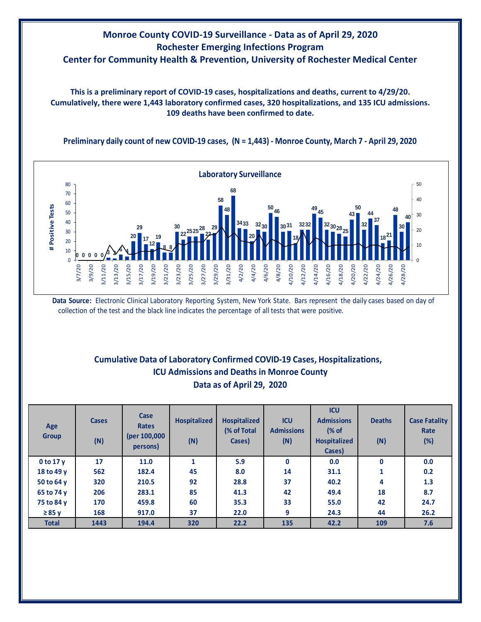## **Monroe County COVID-19 Surveillance - Data as of April 29, 2020 Rochester Emerging Infections Program Center for Community Health & Prevention, University of Rochester Medical Center**

**This is a preliminary report of COVID-19 cases, hospitalizations and deaths, current to 4/29/20. Cumulatively, there were 1,443 laboratory confirmed cases, 320 hospitalizations, and 135 ICU admissions. 109 deaths have been confirmed to date.**

**Preliminary daily count of new COVID-19 cases, (N = 1,443) - Monroe County, March 7 - April 29, 2020**



**Data Source:** Electronic Clinical Laboratory Reporting System, New York State. Bars represent the daily cases based on day of collection of the test and the black line indicates the percentage of all tests that were positive.

## **Cumulative Data of Laboratory Confirmed COVID-19 Cases, Hospitalizations, Data as of April 29, 2020 ICU Admissions and Deaths in Monroe County**

| 5.9<br>17<br>0.0<br>0<br>0.0<br>0 to 17 y<br>11.0<br>0<br>562<br>45<br>8.0<br>1<br>18 to 49 y<br>182.4<br>14<br>0.2<br>31.1<br>37<br>92<br>4<br>320<br>28.8<br>1.3<br>50 to 64 y<br>210.5<br>40.2<br>85<br>42<br>8.7<br>18<br>65 to 74 y<br>206<br>283.1<br>41.3<br>49.4<br>33<br>60<br>35.3<br>24.7<br>75 to 84 y<br>170<br>55.0<br>42<br>459.8 | Age<br><b>Group</b> | <b>Cases</b><br>(N) | Case<br><b>Rates</b><br>(per 100,000<br>persons) | <b>Hospitalized</b><br>(N) | <b>Hospitalized</b><br>(% of Total<br>Cases) | <b>ICU</b><br><b>Admissions</b><br>(N) | <b>ICU</b><br><b>Admissions</b><br>$\frac{1}{6}$ of<br><b>Hospitalized</b><br>Cases) | <b>Deaths</b><br>(N) | <b>Case Fatality</b><br>Rate<br>(%) |
|--------------------------------------------------------------------------------------------------------------------------------------------------------------------------------------------------------------------------------------------------------------------------------------------------------------------------------------------------|---------------------|---------------------|--------------------------------------------------|----------------------------|----------------------------------------------|----------------------------------------|--------------------------------------------------------------------------------------|----------------------|-------------------------------------|
|                                                                                                                                                                                                                                                                                                                                                  |                     |                     |                                                  |                            |                                              |                                        |                                                                                      |                      |                                     |
|                                                                                                                                                                                                                                                                                                                                                  |                     |                     |                                                  |                            |                                              |                                        |                                                                                      |                      |                                     |
|                                                                                                                                                                                                                                                                                                                                                  |                     |                     |                                                  |                            |                                              |                                        |                                                                                      |                      |                                     |
|                                                                                                                                                                                                                                                                                                                                                  |                     |                     |                                                  |                            |                                              |                                        |                                                                                      |                      |                                     |
|                                                                                                                                                                                                                                                                                                                                                  |                     |                     |                                                  |                            |                                              |                                        |                                                                                      |                      |                                     |
|                                                                                                                                                                                                                                                                                                                                                  | $\geq 85$ v         | 168                 | 917.0                                            | 37                         | 22.0                                         | 9                                      | 24.3                                                                                 | 44                   | 26.2                                |
| 320<br>135<br><b>Total</b><br>22.2<br>42.2<br>109<br>7.6<br>1443<br>194.4                                                                                                                                                                                                                                                                        |                     |                     |                                                  |                            |                                              |                                        |                                                                                      |                      |                                     |